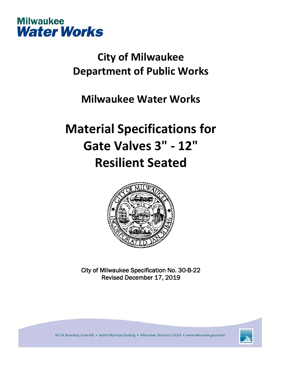

## **City of Milwaukee Department of Public Works**

### **Milwaukee Water Works**

# **Material Specifications for Gate Valves 3" - 12" Resilient Seated**



City of Milwaukee Specification No. 30-B-22 Revised December 17, 2019



841 N. Broadway, Suite 409 · Zeidler Municipal Building · Milwaukee, Wisconsin 53202 · www.milwaukee.gov/water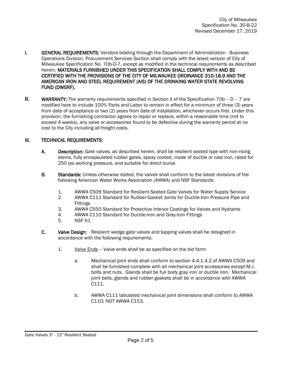- **I. GENERAL REQUIREMENTS:** Vendors bidding through the Department of Administration Business Operations Division, Procurement Services Section shall comply with the latest version of City of Milwaukee Specification No. 70b-D-7, except as modified in the technical requirements as described herein. MATERIALS FURNISHED UNDER THIS SPECIFICATION SHALL COMPLY WITH AND BE CERTIFIED WITH THE PROVISIONS OF THE CITY OF MILWAUKEE ORDINANCE 310-18.9 AND THE AMERICAN IRON AND STEEL REQUIREMENT (AIS) OF THE DRINKING WATER STATE REVOLVING FUND (DWSRF).
- **II.** WARRANTY: The warranty requirements specified in Section II of the Specification 70b D 7 are modified here to include 100% Parts and Labor to remain in effect for a minimum of three (3) years from date of acceptance or two (2) years from date of installation, whichever occurs first. Under this provision, the furnishing contractor agrees to repair or replace, within a reasonable time (not to exceed 4 weeks), any valve or accessories found to be defective during the warranty period at no cost to the City including all freight costs.

#### III. TECHNICAL REQUIREMENTS:

- A. Description: Gate valves, as described herein, shall be resilient seated type with non-rising stems, fully encapsulated rubber gates, epoxy coated, made of ductile or cast iron, rated for 250 psi working pressure, and suitable for direct burial.
- **B.** Standards: Unless otherwise stated, the valves shall conform to the latest revisions of the following American Water Works Association (AWWA) and NSF Standards:
	- 1. AWWA C509 Standard for Resilient-Seated Gate Valves for Water Supply Service
	- 2. AWWA C111 Standard for Rubber-Gasket Joints for Ductile-Iron Pressure Pipe and Fittings
	- 3. AWWA C550 Standard for Protective Interior Coatings for Valves and Hydrants
	- 4. AWWA C110 Standard for Ductile-Iron and Gray-Iron Fittings<br>5. SICE 61
	- **NSF 61**
- C. Valve Design: Resilient wedge gate valves and tapping valves shall be designed in accordance with the following requirements:
	- 1. Valve Ends Valve ends shall be as specified on the bid form:
		- a. Mechanical joint ends shall conform to section 4.4.1.4.2 of AWWA C509 and shall be furnished complete with all mechanical joint accessories except M.J. bolts and nuts. Glands shall be full body gray iron or ductile iron. Mechanical joint bells, glands and rubber gaskets shall be in accordance with AWWA C111.
		- b. AWWA C111 tabulated mechanical joint dimensions shall conform to AWWA C110; NOT AWWA C153.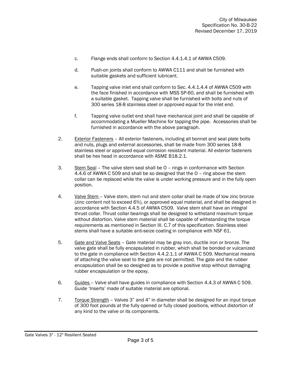- c. Flange ends shall conform to Section 4.4.1.4.1 of AWWA C509.
- d. Push-on joints shall conform to AWWA C111 and shall be furnished with suitable gaskets and sufficient lubricant.
- e. Tapping valve inlet end shall conform to Sec. 4.4.1.4.4 of AWWA C509 with the face finished in accordance with MSS SP-60, and shall be furnished with a suitable gasket. Tapping valve shall be furnished with bolts and nuts of 300 series 18-8 stainless steel or approved equal for the inlet end.
- f. Tapping valve outlet end shall have mechanical joint and shall be capable of accommodating a Mueller Machine for tapping the pipe. Accessories shall be furnished in accordance with the above paragraph.
- 2. Exterior Fasteners All exterior fasteners, including all bonnet and seal plate bolts and nuts, plugs and external accessories, shall be made from 300 series 18-8 stainless steel or approved equal corrosion resistant material. All exterior fasteners shall be hex head in accordance with ASME B18.2.1.
- 3. Stem Seal The valve stem seal shall be O rings in conformance with Section 4.4.6 of AWWA C 509 and shall be so designed that the O – ring above the stem collar can be replaced while the valve is under working pressure and in the fully open position.
- 4. Valve Stem Valve stem, stem nut and stem collar shall be made of low zinc bronze (zinc content not to exceed 6%), or approved equal material, and shall be designed in accordance with Section 4.4.5 of AWWA C509. Valve stem shall have an integral thrust collar. Thrust collar bearings shall be designed to withstand maximum torque without distortion. Valve stem material shall be capable of withstanding the torque requirements as mentioned in Section III. C.7 of this specification. Stainless steel stems shall have a suitable anti-seize coating in compliance with NSF 61.
- 5. Gate and Valve Seats Gate material may be gray iron, ductile iron or bronze. The valve gate shall be fully encapsulated in rubber, which shall be bonded or vulcanized to the gate in compliance with Section 4.4.2.1.1 of AWWA C 509. Mechanical means of attaching the valve seat to the gate are not permitted. The gate and the rubber encapsulation shall be so designed as to provide a positive stop without damaging rubber encapsulation or the epoxy.
- 6. Guides Valve shall have guides in compliance with Section 4.4.3 of AWWA C 509. Guide 'Inserts' made of suitable material are optional.
- 7. Torque Strength Valves 3" and 4" in diameter shall be designed for an input torque of 300 foot pounds at the fully opened or fully closed positions, without distortion of any kind to the valve or its components.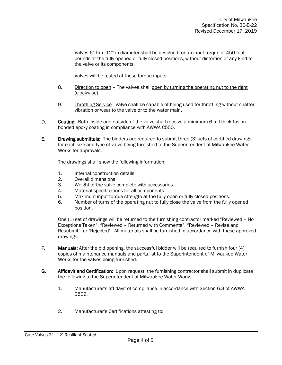Valves 6" thru 12" in diameter shall be designed for an input torque of 450-foot pounds at the fully opened or fully closed positions, without distortion of any kind to the valve or its components.

Valves will be tested at these torque inputs.

- 8. Direction to open The valves shall open by turning the operating nut to the right (clockwise).
- 9. Throttling Service Valve shall be capable of being used for throttling without chatter, vibration or wear to the valve or to the water main.
- D. Coating: Both inside and outside of the valve shall receive a minimum 6 mil thick fusion bonded epoxy coating in compliance with AWWA C550.
- E. Drawing submittals: The bidders are required to submit three (3) sets of certified drawings for each size and type of valve being furnished to the Superintendent of Milwaukee Water Works for approvals.

The drawings shall show the following information:

- 1. Internal construction details
- 2. Overall dimensions
- 3. Weight of the valve complete with accessories<br>4. Material specifications for all components
- Material specifications for all components
- 5. Maximum input torque strength at the fully open or fully closed positions.
- 6. Number of turns of the operating nut to fully close the valve from the fully opened position.

One (1) set of drawings will be returned to the furnishing contractor marked "Reviewed – No Exceptions Taken", "Reviewed – Returned with Comments", "Reviewed – Revise and Resubmit", or "Rejected". All materials shall be furnished in accordance with these approved drawings.

- F. Manuals: After the bid opening, the successful bidder will be required to furnish four (4) copies of maintenance manuals and parts list to the Superintendent of Milwaukee Water Works for the valves being furnished.
- G. Affidavit and Certification: Upon request, the furnishing contractor shall submit in duplicate the following to the Superintendent of Milwaukee Water Works:
	- 1. Manufacturer's affidavit of compliance in accordance with Section 6.3 of AWWA C509.
	- 2. Manufacturer's Certifications attesting to: